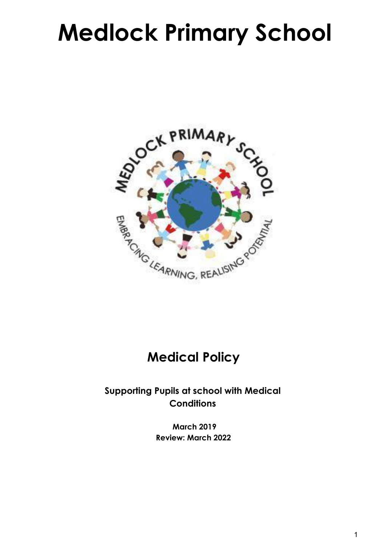# **Medlock Primary School**



# **Medical Policy**

**Supporting Pupils at school with Medical Conditions**

> **March 2019 Review: March 2022**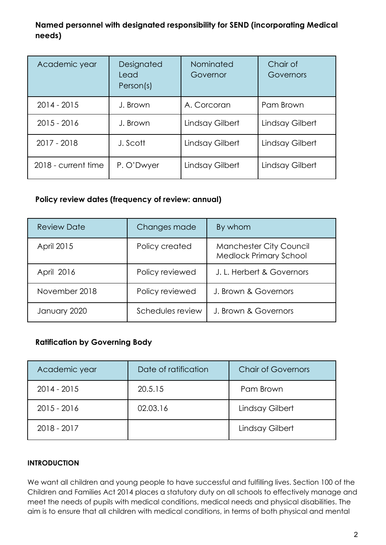### **Named personnel with designated responsibility for SEND (incorporating Medical needs)**

| Academic year       | Designated<br>Lead<br>Person(s) | Nominated<br>Governor | Chair of<br>Governors |
|---------------------|---------------------------------|-----------------------|-----------------------|
| $2014 - 2015$       | J. Brown                        | A. Corcoran           | Pam Brown             |
| $2015 - 2016$       | J. Brown                        | Lindsay Gilbert       | Lindsay Gilbert       |
| 2017 - 2018         | J. Scott                        | Lindsay Gilbert       | Lindsay Gilbert       |
| 2018 - current time | P. O'Dwyer                      | Lindsay Gilbert       | Lindsay Gilbert       |

#### **Policy review dates (frequency of review: annual)**

| <b>Review Date</b> | Changes made     | By whom                                                  |
|--------------------|------------------|----------------------------------------------------------|
| April 2015         | Policy created   | Manchester City Council<br><b>Medlock Primary School</b> |
| April 2016         | Policy reviewed  | J. L. Herbert & Governors                                |
| November 2018      | Policy reviewed  | J. Brown & Governors                                     |
| January 2020       | Schedules review | J. Brown & Governors                                     |

#### **Ratification by Governing Body**

| Academic year | Date of ratification | <b>Chair of Governors</b> |
|---------------|----------------------|---------------------------|
| $2014 - 2015$ | 20.5.15              | Pam Brown                 |
| $2015 - 2016$ | 02.03.16             | Lindsay Gilbert           |
| 2018 - 2017   |                      | Lindsay Gilbert           |

#### **INTRODUCTION**

We want all children and young people to have successful and fulfilling lives. Section 100 of the Children and Families Act 2014 places a statutory duty on all schools to effectively manage and meet the needs of pupils with medical conditions, medical needs and physical disabilities. The aim is to ensure that all children with medical conditions, in terms of both physical and mental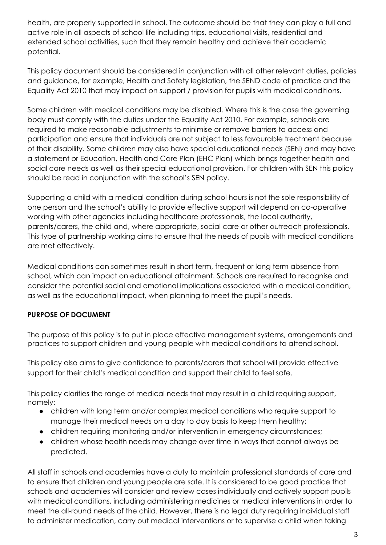health, are properly supported in school. The outcome should be that they can play a full and active role in all aspects of school life including trips, educational visits, residential and extended school activities, such that they remain healthy and achieve their academic potential.

This policy document should be considered in conjunction with all other relevant duties, policies and guidance, for example, Health and Safety legislation, the SEND code of practice and the Equality Act 2010 that may impact on support / provision for pupils with medical conditions.

Some children with medical conditions may be disabled. Where this is the case the governing body must comply with the duties under the Equality Act 2010. For example, schools are required to make reasonable adjustments to minimise or remove barriers to access and participation and ensure that individuals are not subject to less favourable treatment because of their disability. Some children may also have special educational needs (SEN) and may have a statement or Education, Health and Care Plan (EHC Plan) which brings together health and social care needs as well as their special educational provision. For children with SEN this policy should be read in conjunction with the school's SEN policy.

Supporting a child with a medical condition during school hours is not the sole responsibility of one person and the school's ability to provide effective support will depend on co-operative working with other agencies including healthcare professionals, the local authority, parents/carers, the child and, where appropriate, social care or other outreach professionals. This type of partnership working aims to ensure that the needs of pupils with medical conditions are met effectively.

Medical conditions can sometimes result in short term, frequent or long term absence from school, which can impact on educational attainment. Schools are required to recognise and consider the potential social and emotional implications associated with a medical condition, as well as the educational impact, when planning to meet the pupil's needs.

#### **PURPOSE OF DOCUMENT**

The purpose of this policy is to put in place effective management systems, arrangements and practices to support children and young people with medical conditions to attend school.

This policy also aims to give confidence to parents/carers that school will provide effective support for their child's medical condition and support their child to feel safe.

This policy clarifies the range of medical needs that may result in a child requiring support, namely:

- children with long term and/or complex medical conditions who require support to manage their medical needs on a day to day basis to keep them healthy;
- children requiring monitoring and/or intervention in emergency circumstances;
- children whose health needs may change over time in ways that cannot always be predicted.

All staff in schools and academies have a duty to maintain professional standards of care and to ensure that children and young people are safe. It is considered to be good practice that schools and academies will consider and review cases individually and actively support pupils with medical conditions, including administering medicines or medical interventions in order to meet the all-round needs of the child. However, there is no legal duty requiring individual staff to administer medication, carry out medical interventions or to supervise a child when taking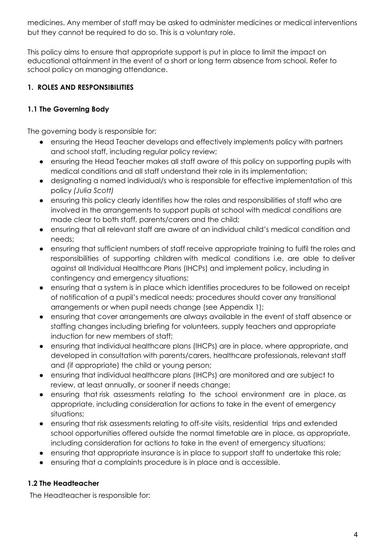medicines. Any member of staff may be asked to administer medicines or medical interventions but they cannot be required to do so. This is a voluntary role.

This policy aims to ensure that appropriate support is put in place to limit the impact on educational attainment in the event of a short or long term absence from school. Refer to school policy on managing attendance.

### **1. ROLES AND RESPONSIBILITIES**

#### **1.1 The Governing Body**

The governing body is responsible for:

- ensuring the Head Teacher develops and effectively implements policy with partners and school staff, including regular policy review;
- ensuring the Head Teacher makes all staff aware of this policy on supporting pupils with medical conditions and all staff understand their role in its implementation;
- designating a named individual/s who is responsible for effective implementation of this policy *(Julia Scott)*
- ensuring this policy clearly identifies how the roles and responsibilities of staff who are involved in the arrangements to support pupils at school with medical conditions are made clear to both staff, parents/carers and the child;
- ensuring that all relevant staff are aware of an individual child's medical condition and needs;
- ensuring that sufficient numbers of staff receive appropriate training to fulfil the roles and responsibilities of supporting children with medical conditions i.e. are able to deliver against all Individual Healthcare Plans (IHCPs) and implement policy, including in contingency and emergency situations;
- ensuring that a system is in place which identifies procedures to be followed on receipt of notification of a pupil's medical needs; procedures should cover any transitional arrangements or when pupil needs change (see Appendix 1);
- ensuring that cover arrangements are always available in the event of staff absence or staffing changes including briefing for volunteers, supply teachers and appropriate induction for new members of staff;
- ensuring that individual healthcare plans (IHCPs) are in place, where appropriate, and developed in consultation with parents/carers, healthcare professionals, relevant staff and (if appropriate) the child or young person;
- ensuring that individual healthcare plans (IHCPs) are monitored and are subject to review, at least annually, or sooner if needs change;
- ensuring that risk assessments relating to the school environment are in place, as appropriate, including consideration for actions to take in the event of emergency situations;
- ensuring that risk assessments relating to off-site visits, residential trips and extended school opportunities offered outside the normal timetable are in place, as appropriate, including consideration for actions to take in the event of emergency situations;
- ensuring that appropriate insurance is in place to support staff to undertake this role;
- ensuring that a complaints procedure is in place and is accessible.

#### **1.2 The Headteacher**

The Headteacher is responsible for: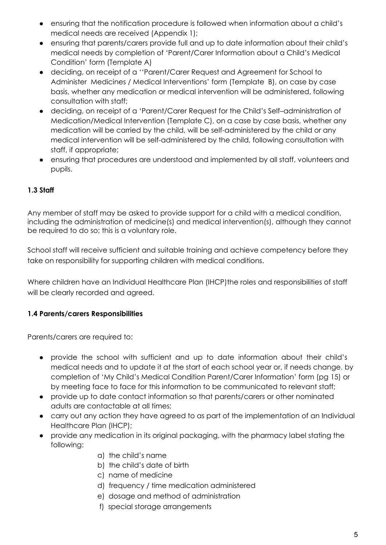- ensuring that the notification procedure is followed when information about a child's medical needs are received (Appendix 1);
- ensuring that parents/carers provide full and up to date information about their child's medical needs by completion of 'Parent/Carer Information about a Child's Medical Condition' form (Template A)
- deciding, on receipt of a ''Parent/Carer Request and Agreement for School to Administer Medicines / Medical Interventions' form (Template B), on case by case basis, whether any medication or medical intervention will be administered, following consultation with staff;
- deciding, on receipt of a 'Parent/Carer Request for the Child's Self–administration of Medication/Medical Intervention (Template C), on a case by case basis, whether any medication will be carried by the child, will be self-administered by the child or any medical intervention will be self-administered by the child, following consultation with staff, if appropriate;
- ensuring that procedures are understood and implemented by all staff, volunteers and pupils.

#### **1.3 Staff**

Any member of staff may be asked to provide support for a child with a medical condition, including the administration of medicine(s) and medical intervention(s), although they cannot be required to do so; this is a voluntary role.

School staff will receive sufficient and suitable training and achieve competency before they take on responsibility for supporting children with medical conditions.

Where children have an Individual Healthcare Plan (IHCP) the roles and responsibilities of staff will be clearly recorded and agreed.

#### **1.4 Parents/carers Responsibilities**

Parents/carers are required to:

- provide the school with sufficient and up to date information about their child's medical needs and to update it at the start of each school year or, if needs change, by completion of 'My Child's Medical Condition Parent/Carer Information' form (pg 15) or by meeting face to face for this information to be communicated to relevant staff;
- provide up to date contact information so that parents/carers or other nominated adults are contactable at all times;
- carry out any action they have agreed to as part of the implementation of an Individual Healthcare Plan (IHCP);
- provide any medication in its original packaging, with the pharmacy label stating the following:
	- a) the child's name
	- b) the child's date of birth
	- c) name of medicine
	- d) frequency / time medication administered
	- e) dosage and method of administration
	- f) special storage arrangements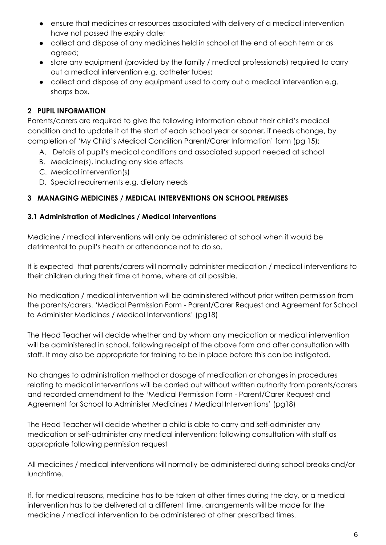- ensure that medicines or resources associated with delivery of a medical intervention have not passed the expiry date;
- collect and dispose of any medicines held in school at the end of each term or as agreed;
- store any equipment (provided by the family / medical professionals) required to carry out a medical intervention e.g. catheter tubes;
- collect and dispose of any equipment used to carry out a medical intervention e.g. sharps box.

#### **2 PUPIL INFORMATION**

Parents/carers are required to give the following information about their child's medical condition and to update it at the start of each school year or sooner, if needs change, by completion of 'My Child's Medical Condition Parent/Carer Information' form (pg 15);

- A. Details of pupil's medical conditions and associated support needed at school
- B. Medicine(s), including any side effects
- C. Medical intervention(s)
- D. Special requirements e.g. dietary needs

#### **3 MANAGING MEDICINES / MEDICAL INTERVENTIONS ON SCHOOL PREMISES**

#### **3.1 Administration of Medicines / Medical Interventions**

Medicine / medical interventions will only be administered at school when it would be detrimental to pupil's health or attendance not to do so.

It is expected that parents/carers will normally administer medication / medical interventions to their children during their time at home, where at all possible.

No medication / medical intervention will be administered without prior written permission from the parents/carers. 'Medical Permission Form - Parent/Carer Request and Agreement for School to Administer Medicines / Medical Interventions' (pg18)

The Head Teacher will decide whether and by whom any medication or medical intervention will be administered in school, following receipt of the above form and after consultation with staff. It may also be appropriate for training to be in place before this can be instigated.

No changes to administration method or dosage of medication or changes in procedures relating to medical interventions will be carried out without written authority from parents/carers and recorded amendment to the 'Medical Permission Form - Parent/Carer Request and Agreement for School to Administer Medicines / Medical Interventions' (pg18)

The Head Teacher will decide whether a child is able to carry and self-administer any medication or self-administer any medical intervention; following consultation with staff as appropriate following permission request

All medicines / medical interventions will normally be administered during school breaks and/or lunchtime.

If, for medical reasons, medicine has to be taken at other times during the day, or a medical intervention has to be delivered at a different time, arrangements will be made for the medicine / medical intervention to be administered at other prescribed times.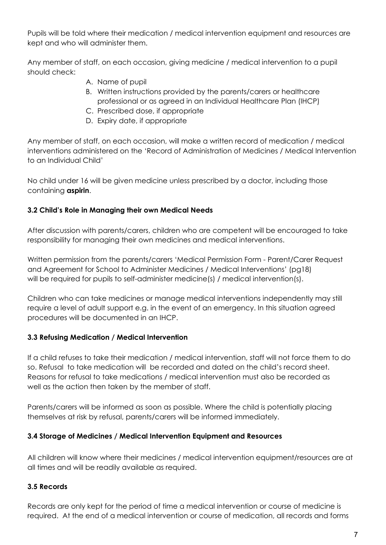Pupils will be told where their medication / medical intervention equipment and resources are kept and who will administer them.

Any member of staff, on each occasion, giving medicine / medical intervention to a pupil should check:

- A. Name of pupil
- B. Written instructions provided by the parents/carers or healthcare professional or as agreed in an Individual Healthcare Plan (IHCP)
- C. Prescribed dose, if appropriate
- D. Expiry date, if appropriate

Any member of staff, on each occasion, will make a written record of medication / medical interventions administered on the 'Record of Administration of Medicines / Medical Intervention to an Individual Child'

No child under 16 will be given medicine unless prescribed by a doctor, including those containing **aspirin**.

#### **3.2 Child's Role in Managing their own Medical Needs**

After discussion with parents/carers, children who are competent will be encouraged to take responsibility for managing their own medicines and medical interventions.

Written permission from the parents/carers 'Medical Permission Form - Parent/Carer Request and Agreement for School to Administer Medicines / Medical Interventions' (pg18) will be required for pupils to self-administer medicine(s) / medical intervention(s).

Children who can take medicines or manage medical interventions independently may still require a level of adult support e.g. in the event of an emergency. In this situation agreed procedures will be documented in an IHCP.

#### **3.3 Refusing Medication / Medical Intervention**

If a child refuses to take their medication / medical intervention, staff will not force them to do so. Refusal to take medication will be recorded and dated on the child's record sheet. Reasons for refusal to take medications / medical intervention must also be recorded as well as the action then taken by the member of staff.

Parents/carers will be informed as soon as possible. Where the child is potentially placing themselves at risk by refusal, parents/carers will be informed immediately.

#### **3.4 Storage of Medicines / Medical Intervention Equipment and Resources**

All children will know where their medicines / medical intervention equipment/resources are at all times and will be readily available as required.

#### **3.5 Records**

Records are only kept for the period of time a medical intervention or course of medicine is required. At the end of a medical intervention or course of medication, all records and forms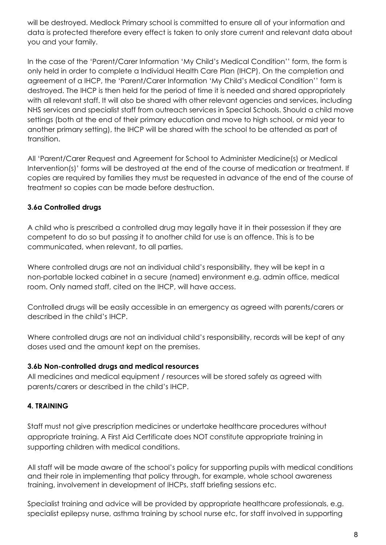will be destroyed. Medlock Primary school is committed to ensure all of your information and data is protected therefore every effect is taken to only store current and relevant data about you and your family.

In the case of the 'Parent/Carer Information 'My Child's Medical Condition'' form, the form is only held in order to complete a Individual Health Care Plan (IHCP). On the completion and agreement of a IHCP, the 'Parent/Carer Information 'My Child's Medical Condition'' form is destroyed. The IHCP is then held for the period of time it is needed and shared appropriately with all relevant staff. It will also be shared with other relevant agencies and services, including NHS services and specialist staff from outreach services in Special Schools. Should a child move settings (both at the end of their primary education and move to high school, or mid year to another primary setting), the IHCP will be shared with the school to be attended as part of transition.

All 'Parent/Carer Request and Agreement for School to Administer Medicine(s) or Medical Intervention(s)' forms will be destroyed at the end of the course of medication or treatment. If copies are required by families they must be requested in advance of the end of the course of treatment so copies can be made before destruction.

#### **3.6a Controlled drugs**

A child who is prescribed a controlled drug may legally have it in their possession if they are competent to do so but passing it to another child for use is an offence. This is to be communicated, when relevant, to all parties.

Where controlled drugs are not an individual child's responsibility, they will be kept in a non-portable locked cabinet in a secure (named) environment e.g. admin office, medical room. Only named staff, cited on the IHCP, will have access.

Controlled drugs will be easily accessible in an emergency as agreed with parents/carers or described in the child's IHCP.

Where controlled drugs are not an individual child's responsibility, records will be kept of any doses used and the amount kept on the premises.

#### **3.6b Non-controlled drugs and medical resources**

All medicines and medical equipment / resources will be stored safely as agreed with parents/carers or described in the child's IHCP.

## **4. TRAINING**

Staff must not give prescription medicines or undertake healthcare procedures without appropriate training. A First Aid Certificate does NOT constitute appropriate training in supporting children with medical conditions.

All staff will be made aware of the school's policy for supporting pupils with medical conditions and their role in implementing that policy through, for example, whole school awareness training, involvement in development of IHCPs, staff briefing sessions etc.

Specialist training and advice will be provided by appropriate healthcare professionals, e.g. specialist epilepsy nurse, asthma training by school nurse etc, for staff involved in supporting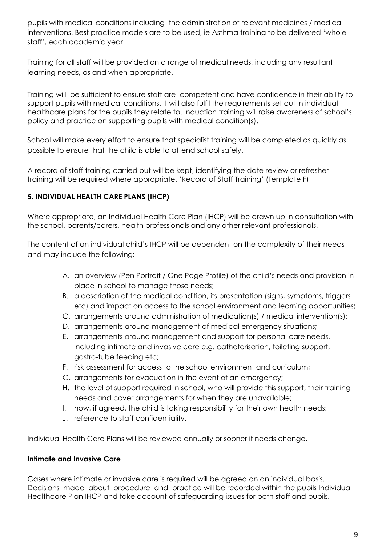pupils with medical conditions including the administration of relevant medicines / medical interventions. Best practice models are to be used, ie Asthma training to be delivered 'whole staff', each academic year.

Training for all staff will be provided on a range of medical needs, including any resultant learning needs, as and when appropriate.

Training will be sufficient to ensure staff are competent and have confidence in their ability to support pupils with medical conditions. It will also fulfil the requirements set out in individual healthcare plans for the pupils they relate to. Induction training will raise awareness of school's policy and practice on supporting pupils with medical condition(s).

School will make every effort to ensure that specialist training will be completed as quickly as possible to ensure that the child is able to attend school safely.

A record of staff training carried out will be kept, identifying the date review or refresher training will be required where appropriate. 'Record of Staff Training' (Template F)

#### **5. INDIVIDUAL HEALTH CARE PLANS (IHCP)**

Where appropriate, an Individual Health Care Plan (IHCP) will be drawn up in consultation with the school, parents/carers, health professionals and any other relevant professionals.

The content of an individual child's IHCP will be dependent on the complexity of their needs and may include the following:

- A. an overview (Pen Portrait / One Page Profile) of the child's needs and provision in place in school to manage those needs;
- B. a description of the medical condition, its presentation (signs, symptoms, triggers etc) and impact on access to the school environment and learning opportunities;
- C. arrangements around administration of medication(s) / medical intervention(s);
- D. arrangements around management of medical emergency situations;
- E. arrangements around management and support for personal care needs, including intimate and invasive care e.g. catheterisation, toileting support, gastro-tube feeding etc;
- F. risk assessment for access to the school environment and curriculum;
- G. arrangements for evacuation in the event of an emergency;
- H. the level of support required in school, who will provide this support, their training needs and cover arrangements for when they are unavailable;
- I. how, if agreed, the child is taking responsibility for their own health needs;
- J. reference to staff confidentiality.

Individual Health Care Plans will be reviewed annually or sooner if needs change.

#### **Intimate and Invasive Care**

Cases where intimate or invasive care is required will be agreed on an individual basis. Decisions made about procedure and practice will be recorded within the pupils Individual Healthcare Plan IHCP and take account of safeguarding issues for both staff and pupils.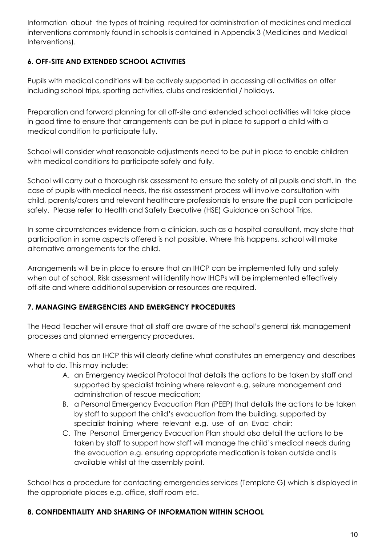Information about the types of training required for administration of medicines and medical interventions commonly found in schools is contained in Appendix 3 (Medicines and Medical Interventions).

#### **6. OFF-SITE AND EXTENDED SCHOOL ACTIVITIES**

Pupils with medical conditions will be actively supported in accessing all activities on offer including school trips, sporting activities, clubs and residential / holidays.

Preparation and forward planning for all off-site and extended school activities will take place in good time to ensure that arrangements can be put in place to support a child with a medical condition to participate fully.

School will consider what reasonable adjustments need to be put in place to enable children with medical conditions to participate safely and fully.

School will carry out a thorough risk assessment to ensure the safety of all pupils and staff. In the case of pupils with medical needs, the risk assessment process will involve consultation with child, parents/carers and relevant healthcare professionals to ensure the pupil can participate safely. Please refer to Health and Safety Executive (HSE) Guidance on School Trips.

In some circumstances evidence from a clinician, such as a hospital consultant, may state that participation in some aspects offered is not possible. Where this happens, school will make alternative arrangements for the child.

Arrangements will be in place to ensure that an IHCP can be implemented fully and safely when out of school. Risk assessment will identify how IHCPs will be implemented effectively off-site and where additional supervision or resources are required.

#### **7. MANAGING EMERGENCIES AND EMERGENCY PROCEDURES**

The Head Teacher will ensure that all staff are aware of the school's general risk management processes and planned emergency procedures.

Where a child has an IHCP this will clearly define what constitutes an emergency and describes what to do. This may include:

- A. an Emergency Medical Protocol that details the actions to be taken by staff and supported by specialist training where relevant e.g. seizure management and administration of rescue medication;
- B. a Personal Emergency Evacuation Plan (PEEP) that details the actions to be taken by staff to support the child's evacuation from the building, supported by specialist training where relevant e.g. use of an Evac chair;
- C. The Personal Emergency Evacuation Plan should also detail the actions to be taken by staff to support how staff will manage the child's medical needs during the evacuation e.g. ensuring appropriate medication is taken outside and is available whilst at the assembly point.

School has a procedure for contacting emergencies services (Template G) which is displayed in the appropriate places e.g. office, staff room etc.

#### **8. CONFIDENTIALITY AND SHARING OF INFORMATION WITHIN SCHOOL**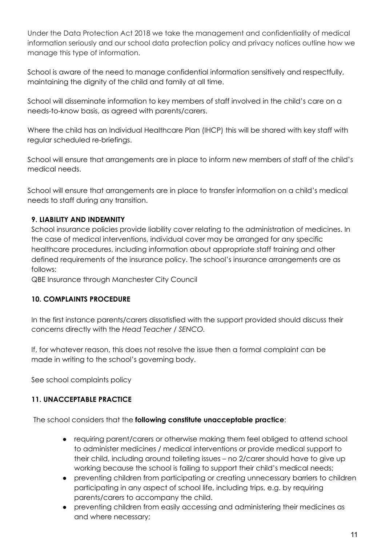Under the Data Protection Act 2018 we take the management and confidentiality of medical information seriously and our school data protection policy and privacy notices outline how we manage this type of information.

School is aware of the need to manage confidential information sensitively and respectfully, maintaining the dignity of the child and family at all time.

School will disseminate information to key members of staff involved in the child's care on a needs-to-know basis, as agreed with parents/carers.

Where the child has an Individual Healthcare Plan (IHCP) this will be shared with key staff with regular scheduled re-briefings.

School will ensure that arrangements are in place to inform new members of staff of the child's medical needs.

School will ensure that arrangements are in place to transfer information on a child's medical needs to staff during any transition.

#### **9. LIABILITY AND INDEMNITY**

School insurance policies provide liability cover relating to the administration of medicines. In the case of medical interventions, individual cover may be arranged for any specific healthcare procedures, including information about appropriate staff training and other defined requirements of the insurance policy. The school's insurance arrangements are as follows:

QBE Insurance through Manchester City Council

#### **10. COMPLAINTS PROCEDURE**

In the first instance parents/carers dissatisfied with the support provided should discuss their concerns directly with the *Head Teacher / SENCO.*

If, for whatever reason, this does not resolve the issue then a formal complaint can be made in writing to the school's governing body.

See school complaints policy

#### **11. UNACCEPTABLE PRACTICE**

The school considers that the **following constitute unacceptable practice**:

- requiring parent/carers or otherwise making them feel obliged to attend school to administer medicines / medical interventions or provide medical support to their child, including around toileting issues – no 2/carer should have to give up working because the school is failing to support their child's medical needs;
- preventing children from participating or creating unnecessary barriers to children participating in any aspect of school life, including trips, e.g. by requiring parents/carers to accompany the child.
- preventing children from easily accessing and administering their medicines as and where necessary;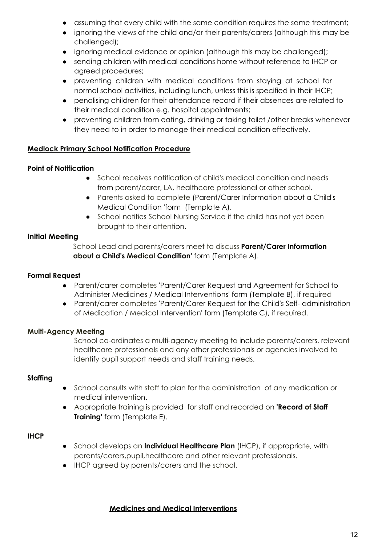- assuming that every child with the same condition requires the same treatment;
- ignoring the views of the child and/or their parents/carers (although this may be challenged);
- ignoring medical evidence or opinion (although this may be challenged);
- sending children with medical conditions home without reference to IHCP or agreed procedures;
- preventing children with medical conditions from staying at school for normal school activities, including lunch, unless this is specified in their IHCP;
- penalising children for their attendance record if their absences are related to their medical condition e.g. hospital appointments;
- preventing children from eating, drinking or taking toilet /other breaks whenever they need to in order to manage their medical condition effectively.

#### **Medlock Primary School Notification Procedure**

#### **Point of Notification**

- School receives notification of child's medical condition and needs from parent/carer, LA, healthcare professional or other school.
- Parents asked to complete (Parent/Carer Information about a Child's Medical Condition 'form (Template A).
- School notifies School Nursing Service if the child has not yet been brought to their attention.

#### **Initial Meeting**

School Lead and parents/carers meet to discuss **Parent/Carer Information about a Child's Medical Condition'** form (Template A).

#### **Formal Request**

- Parent/carer completes 'Parent/Carer Request and Agreement for School to Administer Medicines / Medical Interventions' form (Template B), if required
- Parent/carer completes 'Parent/Carer Request for the Child's Self- administration of Medication / Medical Intervention' form (Template C), if required.

#### **Multi-Agency Meeting**

School co-ordinates a multi-agency meeting to include parents/carers, relevant healthcare professionals and any other professionals or agencies involved to identify pupil support needs and staff training needs.

#### **Staffing**

- School consults with staff to plan for the administration of any medication or medical intervention.
- Appropriate training is provided for staff and recorded on **'Record of Staff Training'** form (Template E).

#### **IHCP**

- School develops an **Individual Healthcare Plan** (IHCP), if appropriate, with parents/carers,pupil,healthcare and other relevant professionals.
- IHCP agreed by parents/carers and the school.

#### **Medicines and Medical Interventions**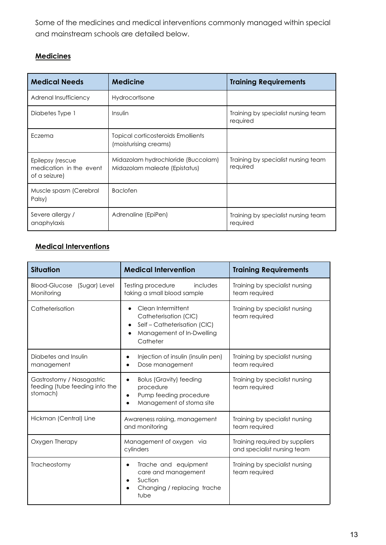Some of the medicines and medical interventions commonly managed within special and mainstream schools are detailed below.

#### **Medicines**

| <b>Medical Needs</b>                                         | <b>Medicine</b>                                                     | <b>Training Requirements</b>                    |
|--------------------------------------------------------------|---------------------------------------------------------------------|-------------------------------------------------|
| Adrenal Insufficiency                                        | Hydrocortisone                                                      |                                                 |
| Diabetes Type 1                                              | Insulin                                                             | Training by specialist nursing team<br>required |
| Eczema                                                       | Topical corticosteroids Emollients<br>(moisturising creams)         |                                                 |
| Epilepsy (rescue<br>medication in the event<br>of a seizure) | Midazolam hydrochloride (Buccolam)<br>Midazolam maleate (Epistatus) | Training by specialist nursing team<br>required |
| Muscle spasm (Cerebral<br>Palsy)                             | <b>Baclofen</b>                                                     |                                                 |
| Severe allergy /<br>anaphylaxis                              | Adrenaline (EpiPen)                                                 | Training by specialist nursing team<br>required |

## **Medical Interventions**

| <b>Situation</b>                                                        | <b>Medical Intervention</b>                                                                                        | <b>Training Requirements</b>                                  |
|-------------------------------------------------------------------------|--------------------------------------------------------------------------------------------------------------------|---------------------------------------------------------------|
| Blood-Glucose (Sugar) Level<br>Monitoring                               | includes<br>Testing procedure<br>taking a small blood sample                                                       | Training by specialist nursing<br>team required               |
| Catheterisation                                                         | Clean Intermittent<br>Catheterisation (CIC)<br>Self-Catheterisation (CIC)<br>Management of In-Dwelling<br>Catheter | Training by specialist nursing<br>team required               |
| Diabetes and Insulin<br>management                                      | Injection of insulin (insulin pen)<br>Dose management                                                              | Training by specialist nursing<br>team required               |
| Gastrostomy / Nasogastric<br>feeding (tube feeding into the<br>stomach) | <b>Bolus (Gravity) feeding</b><br>$\bullet$<br>procedure<br>Pump feeding procedure<br>Management of stoma site     | Training by specialist nursing<br>team required               |
| Hickman (Central) Line                                                  | Awareness raising, management<br>and monitoring                                                                    | Training by specialist nursing<br>team required               |
| Oxygen Therapy                                                          | Management of oxygen via<br>cylinders                                                                              | Training required by suppliers<br>and specialist nursing team |
| Tracheostomy                                                            | Trache and equipment<br>$\bullet$<br>care and management<br>Suction<br>Changing / replacing trache<br>tube         | Training by specialist nursing<br>team required               |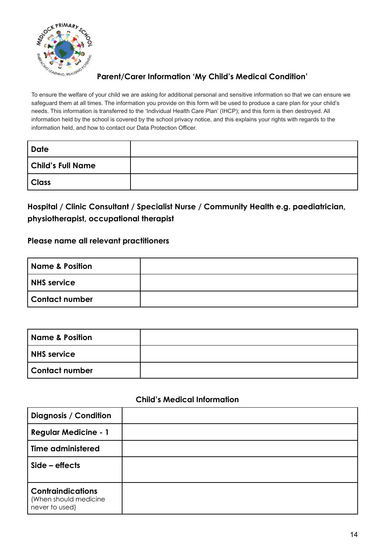

#### **Parent/Carer Information 'My Child's Medical Condition'**

To ensure the welfare of your child we are asking for additional personal and sensitive information so that we can ensure we safeguard them at all times. The information you provide on this form will be used to produce a care plan for your child's needs. This information is transferred to the 'Individual Health Care Plan' (IHCP); and this form is then destroyed. All information held by the school is covered by the school privacy notice, and this explains your rights with regards to the information held, and how to contact our Data Protection Officer.

| <b>Date</b>              |  |
|--------------------------|--|
| <b>Child's Full Name</b> |  |
| Class                    |  |

# **Hospital / Clinic Consultant / Specialist Nurse / Community Health e.g. paediatrician, physiotherapist, occupational therapist**

#### **Please name all relevant practitioners**

| <b>Name &amp; Position</b> |  |
|----------------------------|--|
| <b>NHS</b> service         |  |
| <b>Contact number</b>      |  |

| Name & Position       |  |
|-----------------------|--|
| NHS service           |  |
| <b>Contact number</b> |  |

#### **Child's Medical Information**

| <b>Diagnosis / Condition</b>                                        |  |
|---------------------------------------------------------------------|--|
| <b>Regular Medicine - 1</b>                                         |  |
| <b>Time administered</b>                                            |  |
| $Side - effects$                                                    |  |
| <b>Contraindications</b><br>(When should medicine<br>never to used) |  |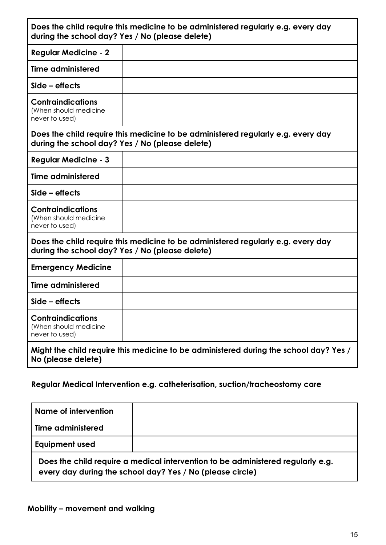|                                                                     | Does the child require this medicine to be administered regularly e.g. every day<br>during the school day? Yes / No (please delete) |
|---------------------------------------------------------------------|-------------------------------------------------------------------------------------------------------------------------------------|
| <b>Regular Medicine - 2</b>                                         |                                                                                                                                     |
| Time administered                                                   |                                                                                                                                     |
| $Side - effects$                                                    |                                                                                                                                     |
| <b>Contraindications</b><br>(When should medicine<br>never to used) |                                                                                                                                     |
|                                                                     | Does the child require this medicine to be administered regularly e.g. every day<br>during the school day? Yes / No (please delete) |
| <b>Regular Medicine - 3</b>                                         |                                                                                                                                     |
| <b>Time administered</b>                                            |                                                                                                                                     |
| $Side - effects$                                                    |                                                                                                                                     |
| <b>Contraindications</b><br>(When should medicine<br>never to used) |                                                                                                                                     |
|                                                                     | Does the child require this medicine to be administered regularly e.g. every day<br>during the school day? Yes / No (please delete) |
| <b>Emergency Medicine</b>                                           |                                                                                                                                     |
| Time administered                                                   |                                                                                                                                     |
| $Side - effects$                                                    |                                                                                                                                     |
| <b>Contraindications</b><br>(When should medicine<br>never to used) |                                                                                                                                     |
| No (please delete)                                                  | Might the child require this medicine to be administered during the school day? Yes /                                               |
|                                                                     |                                                                                                                                     |

## **Regular Medical Intervention e.g. catheterisation, suction/tracheostomy care**

| Name of intervention  |                                                                                                                                              |
|-----------------------|----------------------------------------------------------------------------------------------------------------------------------------------|
| Time administered     |                                                                                                                                              |
| <b>Equipment used</b> |                                                                                                                                              |
|                       | Does the child require a medical intervention to be administered regularly e.g.<br>every day during the school day? Yes / No (please circle) |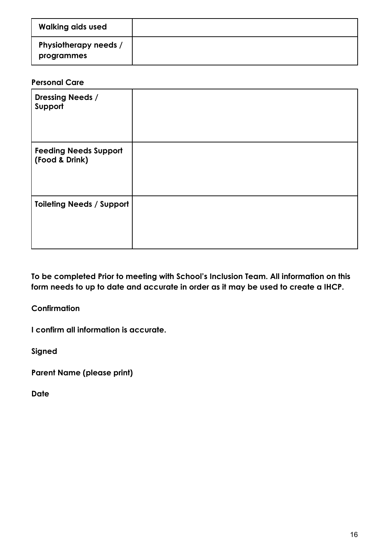| <b>Walking aids used</b>            |  |
|-------------------------------------|--|
| Physiotherapy needs /<br>programmes |  |

#### **Personal Care**

| <b>Dressing Needs /</b><br>Support             |  |
|------------------------------------------------|--|
| <b>Feeding Needs Support</b><br>(Food & Drink) |  |
| <b>Toileting Needs / Support</b>               |  |

**To be completed Prior to meeting with School's Inclusion Team. All information on this form needs to up to date and accurate in order as it may be used to create a IHCP.**

**Confirmation**

**I confirm all information is accurate.**

**Signed**

**Parent Name (please print)**

**Date**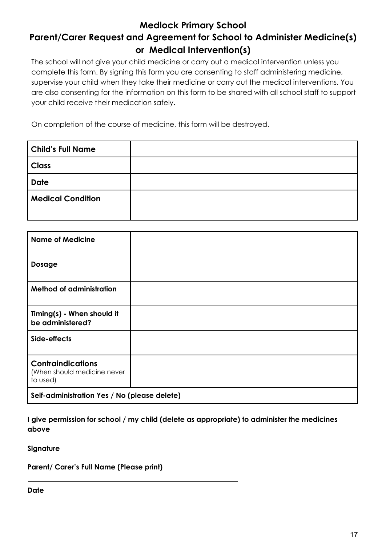# **Medlock Primary School Parent/Carer Request and Agreement for School to Administer Medicine(s) or Medical Intervention(s)**

The school will not give your child medicine or carry out a medical intervention unless you complete this form. By signing this form you are consenting to staff administering medicine, supervise your child when they take their medicine or carry out the medical interventions. You are also consenting for the information on this form to be shared with all school staff to support your child receive their medication safely.

On completion of the course of medicine, this form will be destroyed.

| <b>Child's Full Name</b> |  |
|--------------------------|--|
| <b>Class</b>             |  |
| <b>Date</b>              |  |
| <b>Medical Condition</b> |  |

| <b>Name of Medicine</b>                                             |  |  |
|---------------------------------------------------------------------|--|--|
| <b>Dosage</b>                                                       |  |  |
| <b>Method of administration</b>                                     |  |  |
| Timing(s) - When should it<br>be administered?                      |  |  |
| Side-effects                                                        |  |  |
| <b>Contraindications</b><br>(When should medicine never<br>to used) |  |  |
| Self-administration Yes / No (please delete)                        |  |  |

**I give permission for school / my child (delete as appropriate) to administer the medicines above**

**Signature**

**Parent/ Carer's Full Name (Please print)**

**Date**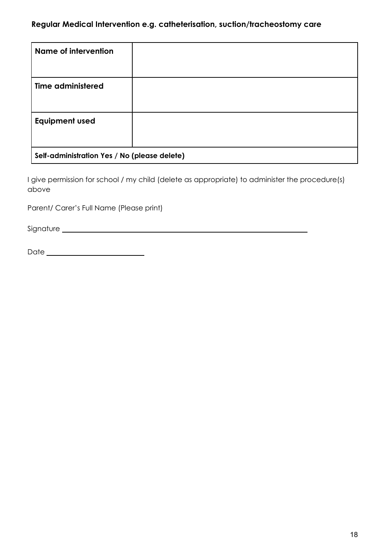#### **Regular Medical Intervention e.g. catheterisation, suction/tracheostomy care**

| Name of intervention                         |  |  |
|----------------------------------------------|--|--|
| <b>Time administered</b>                     |  |  |
| <b>Equipment used</b>                        |  |  |
| Self-administration Yes / No (please delete) |  |  |

I give permission for school / my child (delete as appropriate) to administer the procedure(s) above

Parent/ Carer's Full Name (Please print)

Signature

Date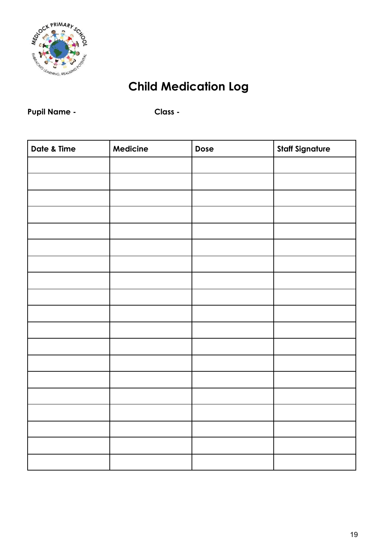

# **Child Medication Log**

# Pupil Name - **Class -**

| Date & Time | Medicine | Dose | <b>Staff Signature</b> |
|-------------|----------|------|------------------------|
|             |          |      |                        |
|             |          |      |                        |
|             |          |      |                        |
|             |          |      |                        |
|             |          |      |                        |
|             |          |      |                        |
|             |          |      |                        |
|             |          |      |                        |
|             |          |      |                        |
|             |          |      |                        |
|             |          |      |                        |
|             |          |      |                        |
|             |          |      |                        |
|             |          |      |                        |
|             |          |      |                        |
|             |          |      |                        |
|             |          |      |                        |
|             |          |      |                        |
|             |          |      |                        |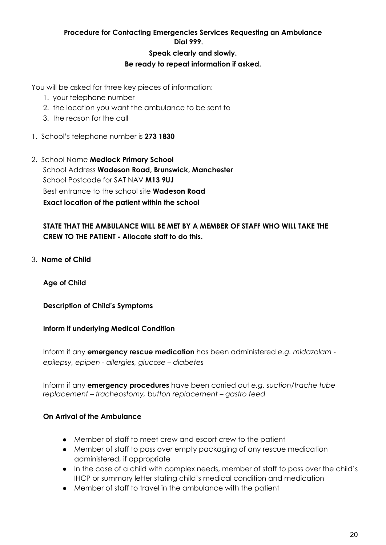#### **Procedure for Contacting Emergencies Services Requesting an Ambulance Dial 999.**

#### **Speak clearly and slowly. Be ready to repeat information if asked.**

You will be asked for three key pieces of information:

- 1. your telephone number
- 2. the location you want the ambulance to be sent to
- 3. the reason for the call
- 1. School's telephone number is **273 1830**
- 2. School Name **Medlock Primary School** School Address **Wadeson Road, Brunswick, Manchester** School Postcode for SAT NAV **M13 9UJ** Best entrance to the school site **Wadeson Road Exact location of the patient within the school**

#### **STATE THAT THE AMBULANCE WILL BE MET BY A MEMBER OF STAFF WHO WILL TAKE THE CREW TO THE PATIENT - Allocate staff to do this.**

3. **Name of Child**

**Age of Child**

**Description of Child's Symptoms**

#### **Inform if underlying Medical Condition**

Inform if any **emergency rescue medication** has been administered *e.g. midazolam epilepsy, epipen - allergies, glucose – diabetes*

Inform if any **emergency procedures** have been carried out *e.g. suction/trache tube replacement – tracheostomy, button replacement – gastro feed*

#### **On Arrival of the Ambulance**

- Member of staff to meet crew and escort crew to the patient
- Member of staff to pass over empty packaging of any rescue medication administered, if appropriate
- In the case of a child with complex needs, member of staff to pass over the child's IHCP or summary letter stating child's medical condition and medication
- Member of staff to travel in the ambulance with the patient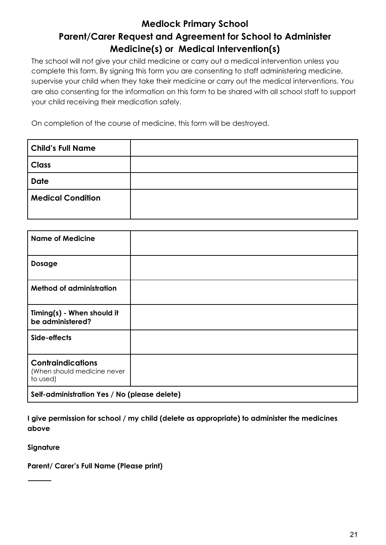# **Medlock Primary School Parent/Carer Request and Agreement for School to Administer Medicine(s) or Medical Intervention(s)**

The school will not give your child medicine or carry out a medical intervention unless you complete this form. By signing this form you are consenting to staff administering medicine, supervise your child when they take their medicine or carry out the medical interventions. You are also consenting for the information on this form to be shared with all school staff to support your child receiving their medication safely.

On completion of the course of medicine, this form will be destroyed.

| <b>Child's Full Name</b> |  |
|--------------------------|--|
| <b>Class</b>             |  |
| <b>Date</b>              |  |
| <b>Medical Condition</b> |  |

| <b>Name of Medicine</b>                                             |  |  |
|---------------------------------------------------------------------|--|--|
| <b>Dosage</b>                                                       |  |  |
| <b>Method of administration</b>                                     |  |  |
| Timing(s) - When should it<br>be administered?                      |  |  |
| Side-effects                                                        |  |  |
| <b>Contraindications</b><br>(When should medicine never<br>to used) |  |  |
| Self-administration Yes / No (please delete)                        |  |  |

**I give permission for school / my child (delete as appropriate) to administer the medicines above**

**Signature**

**Parent/ Carer's Full Name (Please print)**